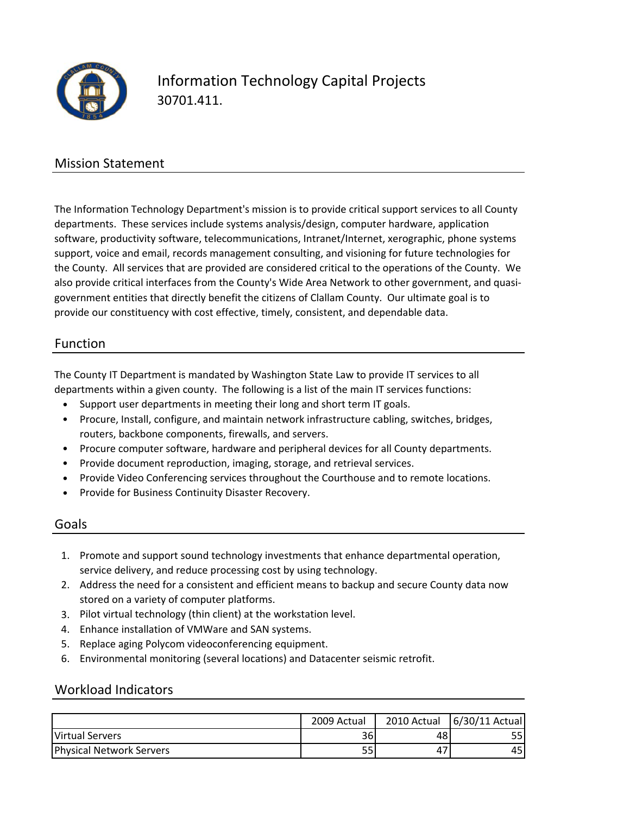

# Information Technology Capital Projects 30701.411.

### Mission Statement

The Information Technology Department's mission is to provide critical support services to all County departments. These services include systems analysis/design, computer hardware, application software, productivity software, telecommunications, Intranet/Internet, xerographic, phone systems support, voice and email, records management consulting, and visioning for future technologies for the County. All services that are provided are considered critical to the operations of the County. We also provide critical interfaces from the County's Wide Area Network to other government, and quasi‐ government entities that directly benefit the citizens of Clallam County. Our ultimate goal is to provide our constituency with cost effective, timely, consistent, and dependable data.

#### Function

The County IT Department is mandated by Washington State Law to provide IT services to all departments within a given county. The following is a list of the main IT services functions:

- Support user departments in meeting their long and short term IT goals.
- Procure, Install, configure, and maintain network infrastructure cabling, switches, bridges, routers, backbone components, firewalls, and servers.
- Procure computer software, hardware and peripheral devices for all County departments.
- Provide document reproduction, imaging, storage, and retrieval services.
- Provide Video Conferencing services throughout the Courthouse and to remote locations.
- Provide for Business Continuity Disaster Recovery.

#### Goals

- 1. Promote and support sound technology investments that enhance departmental operation, service delivery, and reduce processing cost by using technology.
- 2. Address the need for a consistent and efficient means to backup and secure County data now stored on a variety of computer platforms.
- 3. Pilot virtual technology (thin client) at the workstation level.
- 4. Enhance installation of VMWare and SAN systems.
- 5. Replace aging Polycom videoconferencing equipment.
- 6. Environmental monitoring (several locations) and Datacenter seismic retrofit.

#### Workload Indicators

|                                 | 2009 Actual | 2010 Actual | 6/30/11 Actual |
|---------------------------------|-------------|-------------|----------------|
| Virtual Servers                 | 36          | 48          |                |
| <b>Physical Network Servers</b> | 55'         | 47          | 45             |